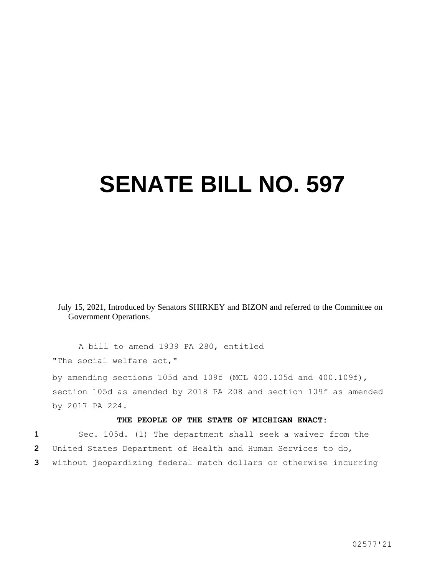## **SENATE BILL NO. 597**

July 15, 2021, Introduced by Senators SHIRKEY and BIZON and referred to the Committee on Government Operations.

A bill to amend 1939 PA 280, entitled "The social welfare act,"

by amending sections 105d and 109f (MCL 400.105d and 400.109f), section 105d as amended by 2018 PA 208 and section 109f as amended by 2017 PA 224.

## **THE PEOPLE OF THE STATE OF MICHIGAN ENACT:**

**1** Sec. 105d. (1) The department shall seek a waiver from the **2** United States Department of Health and Human Services to do, **3** without jeopardizing federal match dollars or otherwise incurring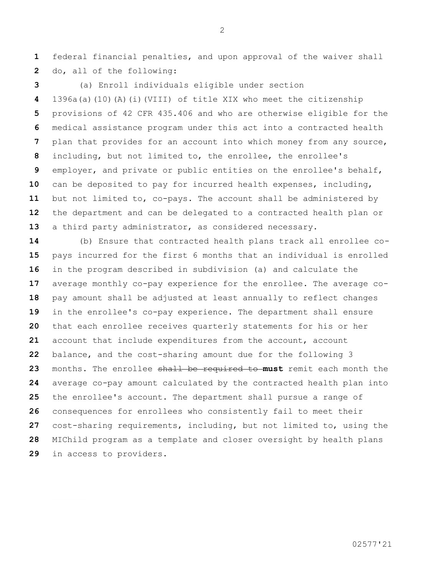federal financial penalties, and upon approval of the waiver shall do, all of the following:

 (a) Enroll individuals eligible under section 1396a(a)(10)(A)(i)(VIII) of title XIX who meet the citizenship provisions of 42 CFR 435.406 and who are otherwise eligible for the medical assistance program under this act into a contracted health plan that provides for an account into which money from any source, including, but not limited to, the enrollee, the enrollee's employer, and private or public entities on the enrollee's behalf, can be deposited to pay for incurred health expenses, including, but not limited to, co-pays. The account shall be administered by the department and can be delegated to a contracted health plan or a third party administrator, as considered necessary.

 (b) Ensure that contracted health plans track all enrollee co- pays incurred for the first 6 months that an individual is enrolled in the program described in subdivision (a) and calculate the average monthly co-pay experience for the enrollee. The average co- pay amount shall be adjusted at least annually to reflect changes in the enrollee's co-pay experience. The department shall ensure that each enrollee receives quarterly statements for his or her account that include expenditures from the account, account balance, and the cost-sharing amount due for the following 3 months. The enrollee shall be required to **must** remit each month the average co-pay amount calculated by the contracted health plan into the enrollee's account. The department shall pursue a range of consequences for enrollees who consistently fail to meet their cost-sharing requirements, including, but not limited to, using the MIChild program as a template and closer oversight by health plans in access to providers.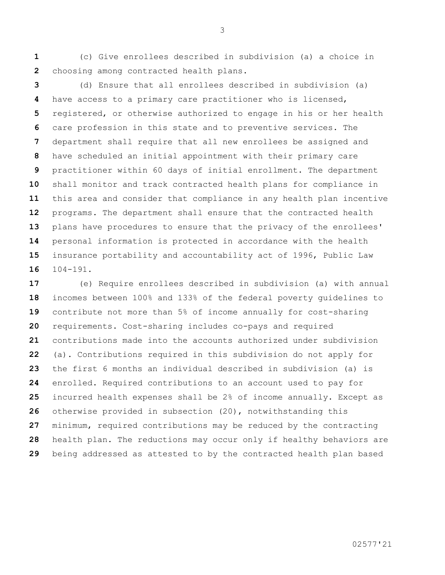(c) Give enrollees described in subdivision (a) a choice in choosing among contracted health plans.

 (d) Ensure that all enrollees described in subdivision (a) have access to a primary care practitioner who is licensed, registered, or otherwise authorized to engage in his or her health care profession in this state and to preventive services. The department shall require that all new enrollees be assigned and have scheduled an initial appointment with their primary care practitioner within 60 days of initial enrollment. The department shall monitor and track contracted health plans for compliance in this area and consider that compliance in any health plan incentive programs. The department shall ensure that the contracted health plans have procedures to ensure that the privacy of the enrollees' personal information is protected in accordance with the health insurance portability and accountability act of 1996, Public Law 104-191.

 (e) Require enrollees described in subdivision (a) with annual incomes between 100% and 133% of the federal poverty guidelines to contribute not more than 5% of income annually for cost-sharing requirements. Cost-sharing includes co-pays and required contributions made into the accounts authorized under subdivision (a). Contributions required in this subdivision do not apply for the first 6 months an individual described in subdivision (a) is enrolled. Required contributions to an account used to pay for incurred health expenses shall be 2% of income annually. Except as otherwise provided in subsection (20), notwithstanding this minimum, required contributions may be reduced by the contracting health plan. The reductions may occur only if healthy behaviors are being addressed as attested to by the contracted health plan based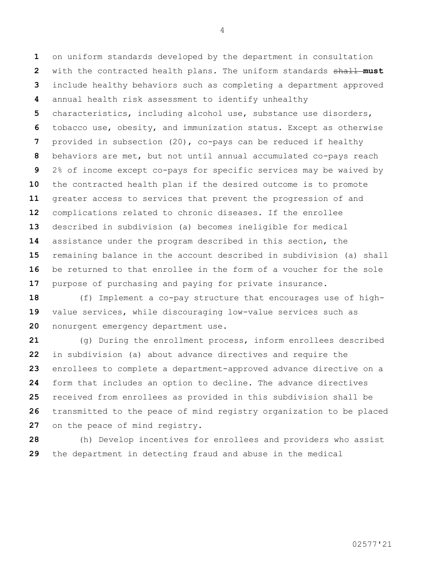on uniform standards developed by the department in consultation with the contracted health plans. The uniform standards shall **must**  include healthy behaviors such as completing a department approved annual health risk assessment to identify unhealthy characteristics, including alcohol use, substance use disorders, tobacco use, obesity, and immunization status. Except as otherwise provided in subsection (20), co-pays can be reduced if healthy behaviors are met, but not until annual accumulated co-pays reach 2% of income except co-pays for specific services may be waived by the contracted health plan if the desired outcome is to promote greater access to services that prevent the progression of and complications related to chronic diseases. If the enrollee described in subdivision (a) becomes ineligible for medical assistance under the program described in this section, the remaining balance in the account described in subdivision (a) shall be returned to that enrollee in the form of a voucher for the sole purpose of purchasing and paying for private insurance.

 (f) Implement a co-pay structure that encourages use of high- value services, while discouraging low-value services such as nonurgent emergency department use.

 (g) During the enrollment process, inform enrollees described in subdivision (a) about advance directives and require the enrollees to complete a department-approved advance directive on a form that includes an option to decline. The advance directives received from enrollees as provided in this subdivision shall be transmitted to the peace of mind registry organization to be placed on the peace of mind registry.

 (h) Develop incentives for enrollees and providers who assist the department in detecting fraud and abuse in the medical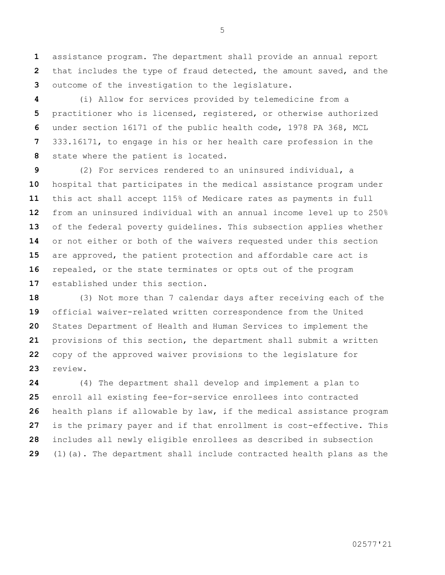assistance program. The department shall provide an annual report that includes the type of fraud detected, the amount saved, and the outcome of the investigation to the legislature.

 (i) Allow for services provided by telemedicine from a practitioner who is licensed, registered, or otherwise authorized under section 16171 of the public health code, 1978 PA 368, MCL 333.16171, to engage in his or her health care profession in the state where the patient is located.

 (2) For services rendered to an uninsured individual, a hospital that participates in the medical assistance program under this act shall accept 115% of Medicare rates as payments in full from an uninsured individual with an annual income level up to 250% of the federal poverty guidelines. This subsection applies whether or not either or both of the waivers requested under this section are approved, the patient protection and affordable care act is repealed, or the state terminates or opts out of the program established under this section.

 (3) Not more than 7 calendar days after receiving each of the official waiver-related written correspondence from the United States Department of Health and Human Services to implement the provisions of this section, the department shall submit a written copy of the approved waiver provisions to the legislature for review.

 (4) The department shall develop and implement a plan to enroll all existing fee-for-service enrollees into contracted health plans if allowable by law, if the medical assistance program is the primary payer and if that enrollment is cost-effective. This includes all newly eligible enrollees as described in subsection (1)(a). The department shall include contracted health plans as the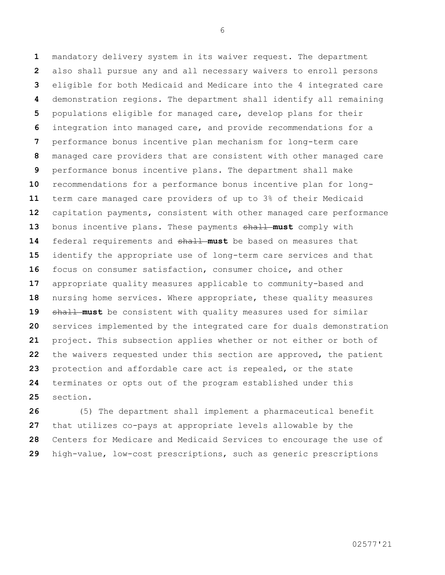mandatory delivery system in its waiver request. The department also shall pursue any and all necessary waivers to enroll persons eligible for both Medicaid and Medicare into the 4 integrated care demonstration regions. The department shall identify all remaining populations eligible for managed care, develop plans for their integration into managed care, and provide recommendations for a performance bonus incentive plan mechanism for long-term care managed care providers that are consistent with other managed care performance bonus incentive plans. The department shall make recommendations for a performance bonus incentive plan for long- term care managed care providers of up to 3% of their Medicaid capitation payments, consistent with other managed care performance 13 bonus incentive plans. These payments shall must comply with federal requirements and shall **must** be based on measures that identify the appropriate use of long-term care services and that focus on consumer satisfaction, consumer choice, and other appropriate quality measures applicable to community-based and nursing home services. Where appropriate, these quality measures 19 shall must be consistent with quality measures used for similar services implemented by the integrated care for duals demonstration project. This subsection applies whether or not either or both of the waivers requested under this section are approved, the patient protection and affordable care act is repealed, or the state terminates or opts out of the program established under this section.

 (5) The department shall implement a pharmaceutical benefit that utilizes co-pays at appropriate levels allowable by the Centers for Medicare and Medicaid Services to encourage the use of high-value, low-cost prescriptions, such as generic prescriptions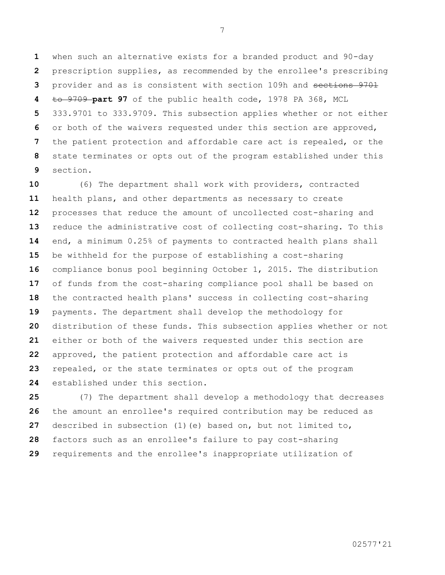when such an alternative exists for a branded product and 90-day prescription supplies, as recommended by the enrollee's prescribing provider and as is consistent with section 109h and sections 9701 to 9709 **part 97** of the public health code, 1978 PA 368, MCL 333.9701 to 333.9709. This subsection applies whether or not either or both of the waivers requested under this section are approved, the patient protection and affordable care act is repealed, or the state terminates or opts out of the program established under this section.

 (6) The department shall work with providers, contracted health plans, and other departments as necessary to create processes that reduce the amount of uncollected cost-sharing and reduce the administrative cost of collecting cost-sharing. To this end, a minimum 0.25% of payments to contracted health plans shall be withheld for the purpose of establishing a cost-sharing compliance bonus pool beginning October 1, 2015. The distribution of funds from the cost-sharing compliance pool shall be based on the contracted health plans' success in collecting cost-sharing payments. The department shall develop the methodology for distribution of these funds. This subsection applies whether or not either or both of the waivers requested under this section are approved, the patient protection and affordable care act is repealed, or the state terminates or opts out of the program established under this section.

 (7) The department shall develop a methodology that decreases the amount an enrollee's required contribution may be reduced as described in subsection (1)(e) based on, but not limited to, factors such as an enrollee's failure to pay cost-sharing requirements and the enrollee's inappropriate utilization of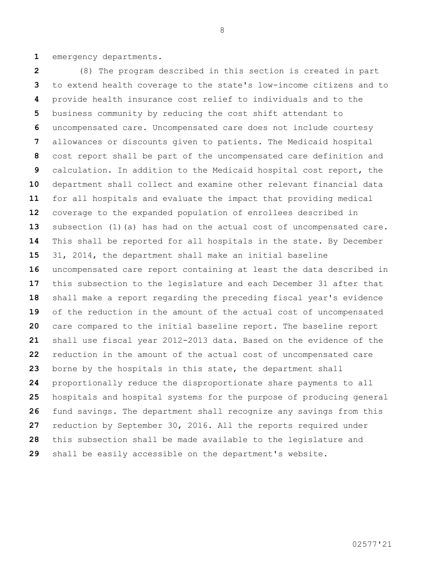emergency departments.

 (8) The program described in this section is created in part to extend health coverage to the state's low-income citizens and to provide health insurance cost relief to individuals and to the business community by reducing the cost shift attendant to uncompensated care. Uncompensated care does not include courtesy allowances or discounts given to patients. The Medicaid hospital cost report shall be part of the uncompensated care definition and calculation. In addition to the Medicaid hospital cost report, the department shall collect and examine other relevant financial data for all hospitals and evaluate the impact that providing medical coverage to the expanded population of enrollees described in subsection (1)(a) has had on the actual cost of uncompensated care. This shall be reported for all hospitals in the state. By December 31, 2014, the department shall make an initial baseline uncompensated care report containing at least the data described in this subsection to the legislature and each December 31 after that shall make a report regarding the preceding fiscal year's evidence of the reduction in the amount of the actual cost of uncompensated care compared to the initial baseline report. The baseline report shall use fiscal year 2012-2013 data. Based on the evidence of the reduction in the amount of the actual cost of uncompensated care borne by the hospitals in this state, the department shall proportionally reduce the disproportionate share payments to all hospitals and hospital systems for the purpose of producing general fund savings. The department shall recognize any savings from this reduction by September 30, 2016. All the reports required under this subsection shall be made available to the legislature and shall be easily accessible on the department's website.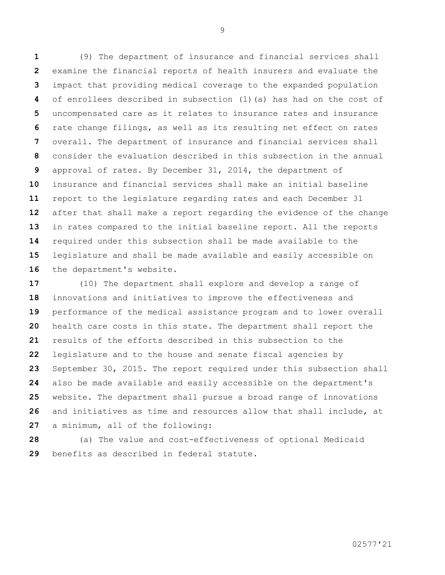(9) The department of insurance and financial services shall examine the financial reports of health insurers and evaluate the impact that providing medical coverage to the expanded population of enrollees described in subsection (1)(a) has had on the cost of uncompensated care as it relates to insurance rates and insurance rate change filings, as well as its resulting net effect on rates overall. The department of insurance and financial services shall consider the evaluation described in this subsection in the annual approval of rates. By December 31, 2014, the department of insurance and financial services shall make an initial baseline report to the legislature regarding rates and each December 31 after that shall make a report regarding the evidence of the change in rates compared to the initial baseline report. All the reports required under this subsection shall be made available to the legislature and shall be made available and easily accessible on 16 the department's website.

 (10) The department shall explore and develop a range of innovations and initiatives to improve the effectiveness and performance of the medical assistance program and to lower overall health care costs in this state. The department shall report the results of the efforts described in this subsection to the legislature and to the house and senate fiscal agencies by September 30, 2015. The report required under this subsection shall also be made available and easily accessible on the department's website. The department shall pursue a broad range of innovations and initiatives as time and resources allow that shall include, at a minimum, all of the following:

 (a) The value and cost-effectiveness of optional Medicaid benefits as described in federal statute.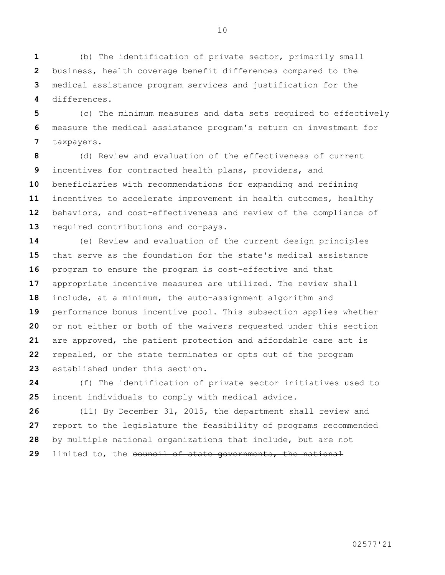(b) The identification of private sector, primarily small business, health coverage benefit differences compared to the medical assistance program services and justification for the differences.

 (c) The minimum measures and data sets required to effectively measure the medical assistance program's return on investment for taxpayers.

 (d) Review and evaluation of the effectiveness of current incentives for contracted health plans, providers, and beneficiaries with recommendations for expanding and refining incentives to accelerate improvement in health outcomes, healthy behaviors, and cost-effectiveness and review of the compliance of required contributions and co-pays.

 (e) Review and evaluation of the current design principles that serve as the foundation for the state's medical assistance program to ensure the program is cost-effective and that appropriate incentive measures are utilized. The review shall include, at a minimum, the auto-assignment algorithm and performance bonus incentive pool. This subsection applies whether or not either or both of the waivers requested under this section are approved, the patient protection and affordable care act is repealed, or the state terminates or opts out of the program established under this section.

 (f) The identification of private sector initiatives used to incent individuals to comply with medical advice.

 (11) By December 31, 2015, the department shall review and report to the legislature the feasibility of programs recommended by multiple national organizations that include, but are not limited to, the council of state governments, the national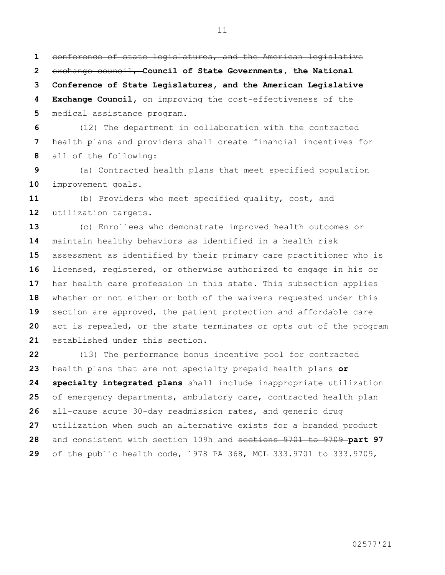conference of state legislatures, and the American legislative exchange council, **Council of State Governments, the National Conference of State Legislatures, and the American Legislative** 

 **Exchange Council,** on improving the cost-effectiveness of the medical assistance program.

 (12) The department in collaboration with the contracted health plans and providers shall create financial incentives for all of the following:

 (a) Contracted health plans that meet specified population improvement goals.

 (b) Providers who meet specified quality, cost, and utilization targets.

 (c) Enrollees who demonstrate improved health outcomes or maintain healthy behaviors as identified in a health risk assessment as identified by their primary care practitioner who is licensed, registered, or otherwise authorized to engage in his or her health care profession in this state. This subsection applies whether or not either or both of the waivers requested under this section are approved, the patient protection and affordable care act is repealed, or the state terminates or opts out of the program established under this section.

 (13) The performance bonus incentive pool for contracted health plans that are not specialty prepaid health plans **or specialty integrated plans** shall include inappropriate utilization of emergency departments, ambulatory care, contracted health plan all-cause acute 30-day readmission rates, and generic drug utilization when such an alternative exists for a branded product and consistent with section 109h and sections 9701 to 9709 **part 97**  of the public health code, 1978 PA 368, MCL 333.9701 to 333.9709,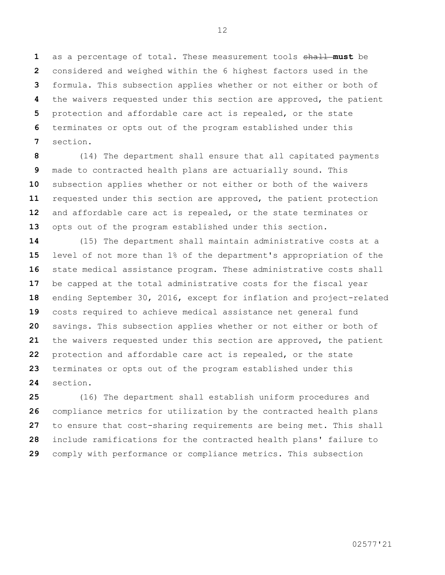as a percentage of total. These measurement tools shall **must** be considered and weighed within the 6 highest factors used in the formula. This subsection applies whether or not either or both of the waivers requested under this section are approved, the patient protection and affordable care act is repealed, or the state terminates or opts out of the program established under this section.

 (14) The department shall ensure that all capitated payments made to contracted health plans are actuarially sound. This subsection applies whether or not either or both of the waivers requested under this section are approved, the patient protection and affordable care act is repealed, or the state terminates or opts out of the program established under this section.

 (15) The department shall maintain administrative costs at a level of not more than 1% of the department's appropriation of the state medical assistance program. These administrative costs shall be capped at the total administrative costs for the fiscal year ending September 30, 2016, except for inflation and project-related costs required to achieve medical assistance net general fund savings. This subsection applies whether or not either or both of the waivers requested under this section are approved, the patient protection and affordable care act is repealed, or the state terminates or opts out of the program established under this section.

 (16) The department shall establish uniform procedures and compliance metrics for utilization by the contracted health plans to ensure that cost-sharing requirements are being met. This shall include ramifications for the contracted health plans' failure to comply with performance or compliance metrics. This subsection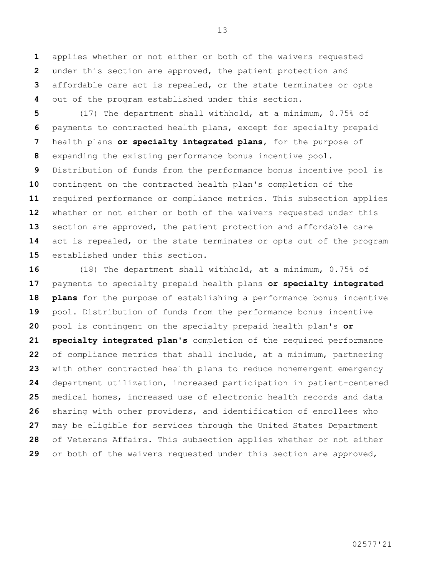applies whether or not either or both of the waivers requested under this section are approved, the patient protection and affordable care act is repealed, or the state terminates or opts out of the program established under this section.

 (17) The department shall withhold, at a minimum, 0.75% of payments to contracted health plans, except for specialty prepaid health plans **or specialty integrated plans**, for the purpose of expanding the existing performance bonus incentive pool. Distribution of funds from the performance bonus incentive pool is contingent on the contracted health plan's completion of the required performance or compliance metrics. This subsection applies whether or not either or both of the waivers requested under this section are approved, the patient protection and affordable care act is repealed, or the state terminates or opts out of the program established under this section.

 (18) The department shall withhold, at a minimum, 0.75% of payments to specialty prepaid health plans **or specialty integrated plans** for the purpose of establishing a performance bonus incentive pool. Distribution of funds from the performance bonus incentive pool is contingent on the specialty prepaid health plan's **or specialty integrated plan's** completion of the required performance of compliance metrics that shall include, at a minimum, partnering with other contracted health plans to reduce nonemergent emergency department utilization, increased participation in patient-centered medical homes, increased use of electronic health records and data sharing with other providers, and identification of enrollees who may be eligible for services through the United States Department of Veterans Affairs. This subsection applies whether or not either or both of the waivers requested under this section are approved,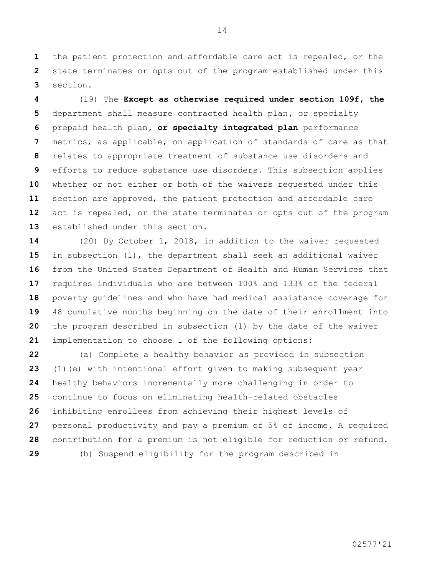the patient protection and affordable care act is repealed, or the state terminates or opts out of the program established under this section.

 (19) The **Except as otherwise required under section 109f, the**  department shall measure contracted health plan,  $\theta$ **F**-specialty prepaid health plan**, or specialty integrated plan** performance metrics, as applicable, on application of standards of care as that relates to appropriate treatment of substance use disorders and efforts to reduce substance use disorders. This subsection applies whether or not either or both of the waivers requested under this section are approved, the patient protection and affordable care act is repealed, or the state terminates or opts out of the program established under this section.

 (20) By October 1, 2018, in addition to the waiver requested in subsection (1), the department shall seek an additional waiver from the United States Department of Health and Human Services that requires individuals who are between 100% and 133% of the federal poverty guidelines and who have had medical assistance coverage for 48 cumulative months beginning on the date of their enrollment into the program described in subsection (1) by the date of the waiver implementation to choose 1 of the following options:

 (a) Complete a healthy behavior as provided in subsection (1)(e) with intentional effort given to making subsequent year healthy behaviors incrementally more challenging in order to continue to focus on eliminating health-related obstacles inhibiting enrollees from achieving their highest levels of personal productivity and pay a premium of 5% of income. A required contribution for a premium is not eligible for reduction or refund. (b) Suspend eligibility for the program described in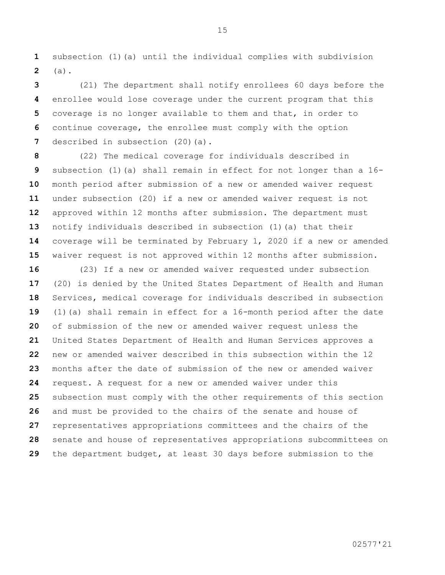subsection (1)(a) until the individual complies with subdivision (a).

 (21) The department shall notify enrollees 60 days before the enrollee would lose coverage under the current program that this coverage is no longer available to them and that, in order to continue coverage, the enrollee must comply with the option described in subsection (20)(a).

 (22) The medical coverage for individuals described in subsection (1)(a) shall remain in effect for not longer than a 16- month period after submission of a new or amended waiver request under subsection (20) if a new or amended waiver request is not approved within 12 months after submission. The department must notify individuals described in subsection (1)(a) that their coverage will be terminated by February 1, 2020 if a new or amended waiver request is not approved within 12 months after submission.

 (23) If a new or amended waiver requested under subsection (20) is denied by the United States Department of Health and Human Services, medical coverage for individuals described in subsection (1)(a) shall remain in effect for a 16-month period after the date of submission of the new or amended waiver request unless the United States Department of Health and Human Services approves a new or amended waiver described in this subsection within the 12 months after the date of submission of the new or amended waiver request. A request for a new or amended waiver under this subsection must comply with the other requirements of this section and must be provided to the chairs of the senate and house of representatives appropriations committees and the chairs of the senate and house of representatives appropriations subcommittees on the department budget, at least 30 days before submission to the

02577'21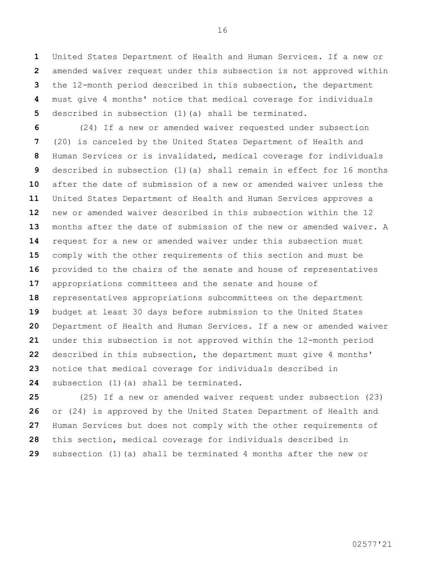United States Department of Health and Human Services. If a new or amended waiver request under this subsection is not approved within the 12-month period described in this subsection, the department must give 4 months' notice that medical coverage for individuals described in subsection (1)(a) shall be terminated.

 (24) If a new or amended waiver requested under subsection (20) is canceled by the United States Department of Health and Human Services or is invalidated, medical coverage for individuals described in subsection (1)(a) shall remain in effect for 16 months after the date of submission of a new or amended waiver unless the United States Department of Health and Human Services approves a new or amended waiver described in this subsection within the 12 months after the date of submission of the new or amended waiver. A request for a new or amended waiver under this subsection must comply with the other requirements of this section and must be provided to the chairs of the senate and house of representatives appropriations committees and the senate and house of representatives appropriations subcommittees on the department budget at least 30 days before submission to the United States Department of Health and Human Services. If a new or amended waiver under this subsection is not approved within the 12-month period described in this subsection, the department must give 4 months' notice that medical coverage for individuals described in subsection (1)(a) shall be terminated.

 (25) If a new or amended waiver request under subsection (23) or (24) is approved by the United States Department of Health and Human Services but does not comply with the other requirements of this section, medical coverage for individuals described in subsection (1)(a) shall be terminated 4 months after the new or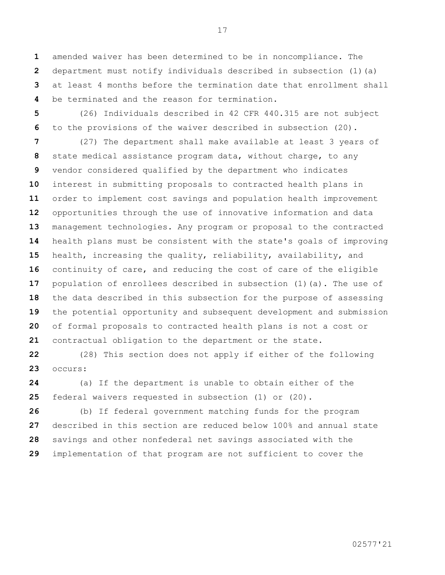amended waiver has been determined to be in noncompliance. The department must notify individuals described in subsection (1)(a) at least 4 months before the termination date that enrollment shall be terminated and the reason for termination.

 (26) Individuals described in 42 CFR 440.315 are not subject to the provisions of the waiver described in subsection (20).

 (27) The department shall make available at least 3 years of state medical assistance program data, without charge, to any vendor considered qualified by the department who indicates interest in submitting proposals to contracted health plans in order to implement cost savings and population health improvement opportunities through the use of innovative information and data management technologies. Any program or proposal to the contracted health plans must be consistent with the state's goals of improving health, increasing the quality, reliability, availability, and continuity of care, and reducing the cost of care of the eligible population of enrollees described in subsection (1)(a). The use of the data described in this subsection for the purpose of assessing the potential opportunity and subsequent development and submission of formal proposals to contracted health plans is not a cost or contractual obligation to the department or the state.

 (28) This section does not apply if either of the following occurs:

 (a) If the department is unable to obtain either of the federal waivers requested in subsection (1) or (20).

 (b) If federal government matching funds for the program described in this section are reduced below 100% and annual state savings and other nonfederal net savings associated with the implementation of that program are not sufficient to cover the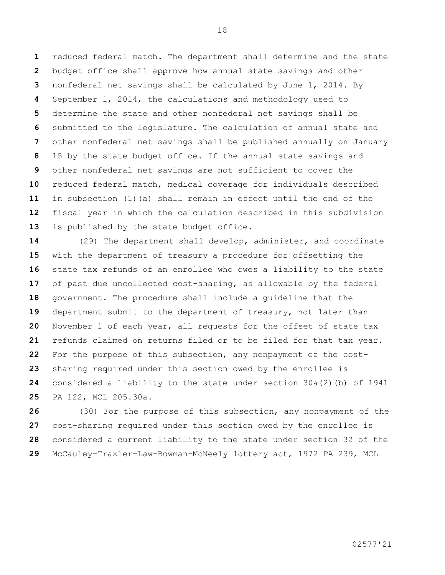reduced federal match. The department shall determine and the state budget office shall approve how annual state savings and other nonfederal net savings shall be calculated by June 1, 2014. By September 1, 2014, the calculations and methodology used to determine the state and other nonfederal net savings shall be submitted to the legislature. The calculation of annual state and other nonfederal net savings shall be published annually on January 15 by the state budget office. If the annual state savings and other nonfederal net savings are not sufficient to cover the reduced federal match, medical coverage for individuals described in subsection (1)(a) shall remain in effect until the end of the fiscal year in which the calculation described in this subdivision is published by the state budget office.

 (29) The department shall develop, administer, and coordinate with the department of treasury a procedure for offsetting the state tax refunds of an enrollee who owes a liability to the state of past due uncollected cost-sharing, as allowable by the federal government. The procedure shall include a guideline that the department submit to the department of treasury, not later than November 1 of each year, all requests for the offset of state tax refunds claimed on returns filed or to be filed for that tax year. For the purpose of this subsection, any nonpayment of the cost- sharing required under this section owed by the enrollee is considered a liability to the state under section 30a(2)(b) of 1941 PA 122, MCL 205.30a.

 (30) For the purpose of this subsection, any nonpayment of the cost-sharing required under this section owed by the enrollee is considered a current liability to the state under section 32 of the McCauley-Traxler-Law-Bowman-McNeely lottery act, 1972 PA 239, MCL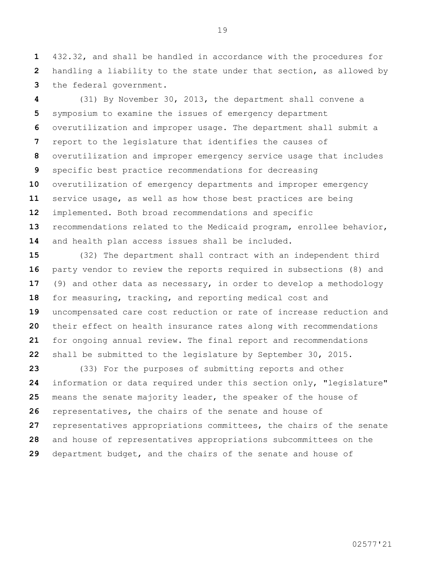432.32, and shall be handled in accordance with the procedures for handling a liability to the state under that section, as allowed by the federal government.

 (31) By November 30, 2013, the department shall convene a symposium to examine the issues of emergency department overutilization and improper usage. The department shall submit a report to the legislature that identifies the causes of overutilization and improper emergency service usage that includes specific best practice recommendations for decreasing overutilization of emergency departments and improper emergency service usage, as well as how those best practices are being implemented. Both broad recommendations and specific recommendations related to the Medicaid program, enrollee behavior, and health plan access issues shall be included.

 (32) The department shall contract with an independent third party vendor to review the reports required in subsections (8) and (9) and other data as necessary, in order to develop a methodology for measuring, tracking, and reporting medical cost and uncompensated care cost reduction or rate of increase reduction and their effect on health insurance rates along with recommendations for ongoing annual review. The final report and recommendations shall be submitted to the legislature by September 30, 2015.

 (33) For the purposes of submitting reports and other information or data required under this section only, "legislature" means the senate majority leader, the speaker of the house of representatives, the chairs of the senate and house of representatives appropriations committees, the chairs of the senate and house of representatives appropriations subcommittees on the department budget, and the chairs of the senate and house of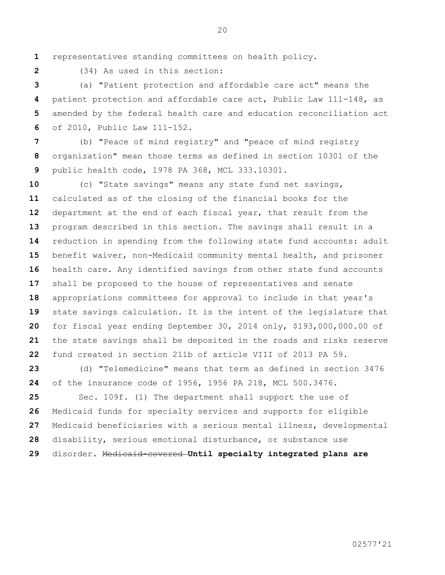representatives standing committees on health policy.

(34) As used in this section:

 (a) "Patient protection and affordable care act" means the patient protection and affordable care act, Public Law 111-148, as amended by the federal health care and education reconciliation act of 2010, Public Law 111-152.

 (b) "Peace of mind registry" and "peace of mind registry organization" mean those terms as defined in section 10301 of the public health code, 1978 PA 368, MCL 333.10301.

 (c) "State savings" means any state fund net savings, calculated as of the closing of the financial books for the department at the end of each fiscal year, that result from the program described in this section. The savings shall result in a reduction in spending from the following state fund accounts: adult benefit waiver, non-Medicaid community mental health, and prisoner health care. Any identified savings from other state fund accounts shall be proposed to the house of representatives and senate appropriations committees for approval to include in that year's state savings calculation. It is the intent of the legislature that for fiscal year ending September 30, 2014 only, \$193,000,000.00 of the state savings shall be deposited in the roads and risks reserve fund created in section 211b of article VIII of 2013 PA 59.

 (d) "Telemedicine" means that term as defined in section 3476 of the insurance code of 1956, 1956 PA 218, MCL 500.3476.

 Sec. 109f. (1) The department shall support the use of Medicaid funds for specialty services and supports for eligible Medicaid beneficiaries with a serious mental illness, developmental disability, serious emotional disturbance, or substance use disorder. Medicaid-covered **Until specialty integrated plans are**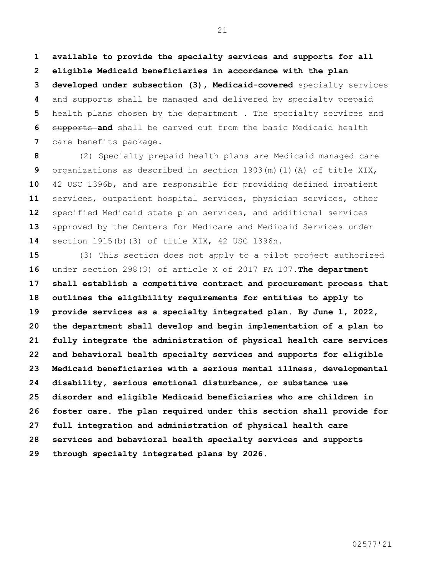**available to provide the specialty services and supports for all eligible Medicaid beneficiaries in accordance with the plan developed under subsection (3), Medicaid-covered** specialty services and supports shall be managed and delivered by specialty prepaid health plans chosen by the department . The specialty services and supports **and** shall be carved out from the basic Medicaid health care benefits package.

 (2) Specialty prepaid health plans are Medicaid managed care organizations as described in section 1903(m)(1)(A) of title XIX, 42 USC 1396b, and are responsible for providing defined inpatient services, outpatient hospital services, physician services, other specified Medicaid state plan services, and additional services approved by the Centers for Medicare and Medicaid Services under section 1915(b)(3) of title XIX, 42 USC 1396n.

 (3) This section does not apply to a pilot project authorized under section 298(3) of article X of 2017 PA 107.**The department shall establish a competitive contract and procurement process that outlines the eligibility requirements for entities to apply to provide services as a specialty integrated plan. By June 1, 2022, the department shall develop and begin implementation of a plan to fully integrate the administration of physical health care services and behavioral health specialty services and supports for eligible Medicaid beneficiaries with a serious mental illness, developmental disability, serious emotional disturbance, or substance use disorder and eligible Medicaid beneficiaries who are children in foster care. The plan required under this section shall provide for full integration and administration of physical health care services and behavioral health specialty services and supports through specialty integrated plans by 2026.**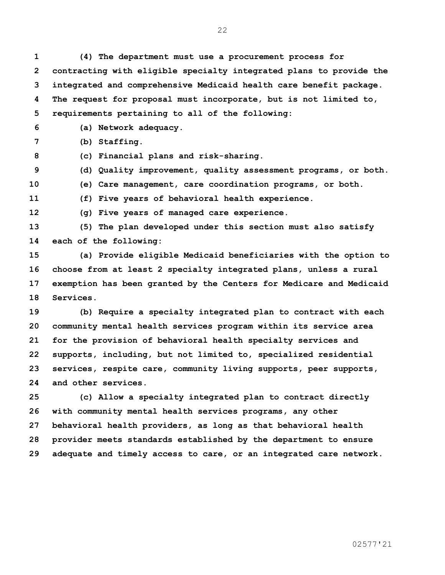**(4) The department must use a procurement process for contracting with eligible specialty integrated plans to provide the integrated and comprehensive Medicaid health care benefit package. The request for proposal must incorporate, but is not limited to, requirements pertaining to all of the following:**

**(a) Network adequacy.**

**(b) Staffing.**

**(c) Financial plans and risk-sharing.**

**(d) Quality improvement, quality assessment programs, or both.**

**(e) Care management, care coordination programs, or both.**

**(f) Five years of behavioral health experience.**

**(g) Five years of managed care experience.**

 **(5) The plan developed under this section must also satisfy each of the following:**

 **(a) Provide eligible Medicaid beneficiaries with the option to choose from at least 2 specialty integrated plans, unless a rural exemption has been granted by the Centers for Medicare and Medicaid Services.**

 **(b) Require a specialty integrated plan to contract with each community mental health services program within its service area for the provision of behavioral health specialty services and supports, including, but not limited to, specialized residential services, respite care, community living supports, peer supports, and other services.**

 **(c) Allow a specialty integrated plan to contract directly with community mental health services programs, any other behavioral health providers, as long as that behavioral health provider meets standards established by the department to ensure adequate and timely access to care, or an integrated care network.**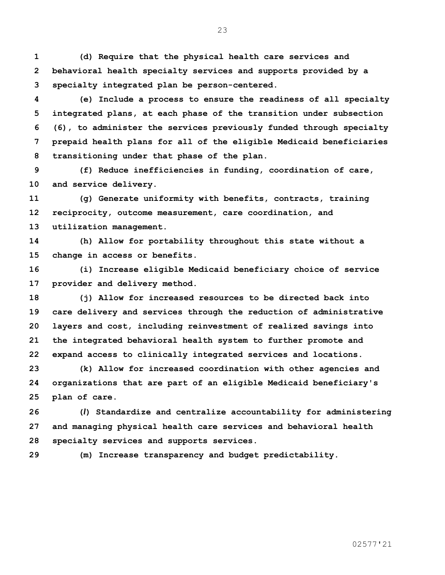**(d) Require that the physical health care services and behavioral health specialty services and supports provided by a specialty integrated plan be person-centered.**

 **(e) Include a process to ensure the readiness of all specialty integrated plans, at each phase of the transition under subsection (6), to administer the services previously funded through specialty prepaid health plans for all of the eligible Medicaid beneficiaries transitioning under that phase of the plan.**

 **(f) Reduce inefficiencies in funding, coordination of care, and service delivery.**

 **(g) Generate uniformity with benefits, contracts, training reciprocity, outcome measurement, care coordination, and utilization management.**

 **(h) Allow for portability throughout this state without a change in access or benefits.**

 **(i) Increase eligible Medicaid beneficiary choice of service provider and delivery method.**

 **(j) Allow for increased resources to be directed back into care delivery and services through the reduction of administrative layers and cost, including reinvestment of realized savings into the integrated behavioral health system to further promote and expand access to clinically integrated services and locations.** 

 **(k) Allow for increased coordination with other agencies and organizations that are part of an eligible Medicaid beneficiary's plan of care.**

 **(***l***) Standardize and centralize accountability for administering and managing physical health care services and behavioral health specialty services and supports services.**

**(m) Increase transparency and budget predictability.**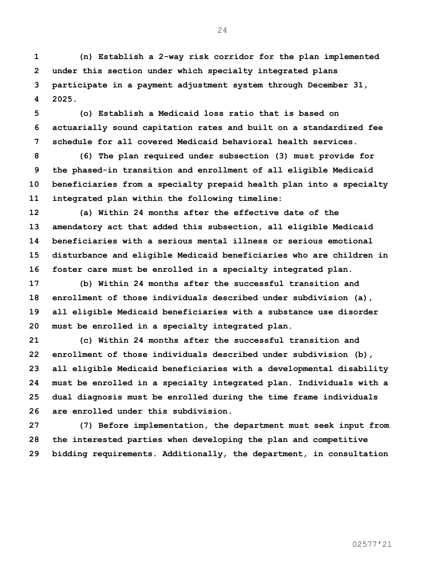**(n) Establish a 2-way risk corridor for the plan implemented under this section under which specialty integrated plans participate in a payment adjustment system through December 31, 2025.** 

 **(o) Establish a Medicaid loss ratio that is based on actuarially sound capitation rates and built on a standardized fee schedule for all covered Medicaid behavioral health services.**

 **(6) The plan required under subsection (3) must provide for the phased-in transition and enrollment of all eligible Medicaid beneficiaries from a specialty prepaid health plan into a specialty integrated plan within the following timeline:**

 **(a) Within 24 months after the effective date of the amendatory act that added this subsection, all eligible Medicaid beneficiaries with a serious mental illness or serious emotional disturbance and eligible Medicaid beneficiaries who are children in foster care must be enrolled in a specialty integrated plan.**

 **(b) Within 24 months after the successful transition and enrollment of those individuals described under subdivision (a), all eligible Medicaid beneficiaries with a substance use disorder must be enrolled in a specialty integrated plan.**

 **(c) Within 24 months after the successful transition and enrollment of those individuals described under subdivision (b), all eligible Medicaid beneficiaries with a developmental disability must be enrolled in a specialty integrated plan. Individuals with a dual diagnosis must be enrolled during the time frame individuals are enrolled under this subdivision.**

 **(7) Before implementation, the department must seek input from the interested parties when developing the plan and competitive bidding requirements. Additionally, the department, in consultation**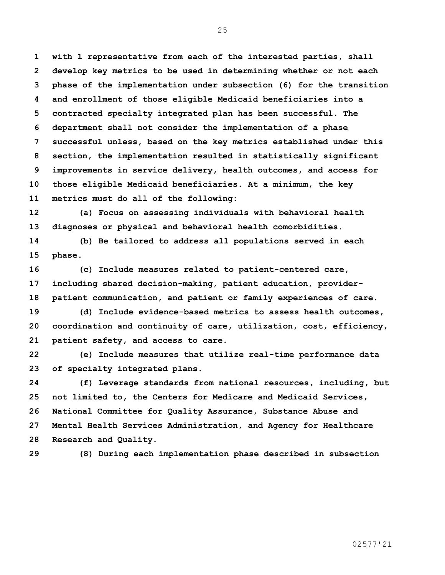**with 1 representative from each of the interested parties, shall develop key metrics to be used in determining whether or not each phase of the implementation under subsection (6) for the transition and enrollment of those eligible Medicaid beneficiaries into a contracted specialty integrated plan has been successful. The department shall not consider the implementation of a phase successful unless, based on the key metrics established under this section, the implementation resulted in statistically significant improvements in service delivery, health outcomes, and access for those eligible Medicaid beneficiaries. At a minimum, the key metrics must do all of the following:**

 **(a) Focus on assessing individuals with behavioral health diagnoses or physical and behavioral health comorbidities.**

 **(b) Be tailored to address all populations served in each phase.**

 **(c) Include measures related to patient-centered care, including shared decision-making, patient education, provider-patient communication, and patient or family experiences of care.**

 **(d) Include evidence-based metrics to assess health outcomes, coordination and continuity of care, utilization, cost, efficiency, patient safety, and access to care.** 

 **(e) Include measures that utilize real-time performance data of specialty integrated plans.**

 **(f) Leverage standards from national resources, including, but not limited to, the Centers for Medicare and Medicaid Services, National Committee for Quality Assurance, Substance Abuse and Mental Health Services Administration, and Agency for Healthcare Research and Quality.**

**(8) During each implementation phase described in subsection**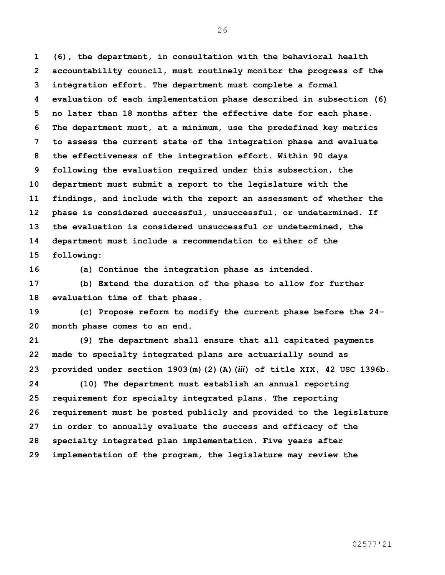**(6), the department, in consultation with the behavioral health accountability council, must routinely monitor the progress of the integration effort. The department must complete a formal evaluation of each implementation phase described in subsection (6) no later than 18 months after the effective date for each phase. The department must, at a minimum, use the predefined key metrics to assess the current state of the integration phase and evaluate the effectiveness of the integration effort. Within 90 days following the evaluation required under this subsection, the department must submit a report to the legislature with the findings, and include with the report an assessment of whether the phase is considered successful, unsuccessful, or undetermined. If the evaluation is considered unsuccessful or undetermined, the department must include a recommendation to either of the following:**

**(a) Continue the integration phase as intended.**

 **(b) Extend the duration of the phase to allow for further evaluation time of that phase.**

 **(c) Propose reform to modify the current phase before the 24- month phase comes to an end.** 

 **(9) The department shall ensure that all capitated payments made to specialty integrated plans are actuarially sound as provided under section 1903(m)(2)(A)(***iii***) of title XIX, 42 USC 1396b.**

 **(10) The department must establish an annual reporting requirement for specialty integrated plans. The reporting requirement must be posted publicly and provided to the legislature in order to annually evaluate the success and efficacy of the specialty integrated plan implementation. Five years after implementation of the program, the legislature may review the**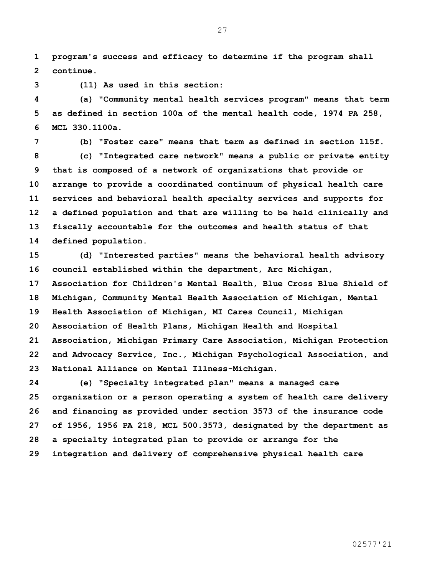**program's success and efficacy to determine if the program shall continue.** 

**(11) As used in this section:**

 **(a) "Community mental health services program" means that term as defined in section 100a of the mental health code, 1974 PA 258, MCL 330.1100a.**

**(b) "Foster care" means that term as defined in section 115f.**

 **(c) "Integrated care network" means a public or private entity that is composed of a network of organizations that provide or arrange to provide a coordinated continuum of physical health care services and behavioral health specialty services and supports for a defined population and that are willing to be held clinically and fiscally accountable for the outcomes and health status of that defined population.**

 **(d) "Interested parties" means the behavioral health advisory council established within the department, Arc Michigan, Association for Children's Mental Health, Blue Cross Blue Shield of Michigan, Community Mental Health Association of Michigan, Mental Health Association of Michigan, MI Cares Council, Michigan Association of Health Plans, Michigan Health and Hospital Association, Michigan Primary Care Association, Michigan Protection and Advocacy Service, Inc., Michigan Psychological Association, and National Alliance on Mental Illness-Michigan.**

 **(e) "Specialty integrated plan" means a managed care organization or a person operating a system of health care delivery and financing as provided under section 3573 of the insurance code of 1956, 1956 PA 218, MCL 500.3573, designated by the department as a specialty integrated plan to provide or arrange for the integration and delivery of comprehensive physical health care**